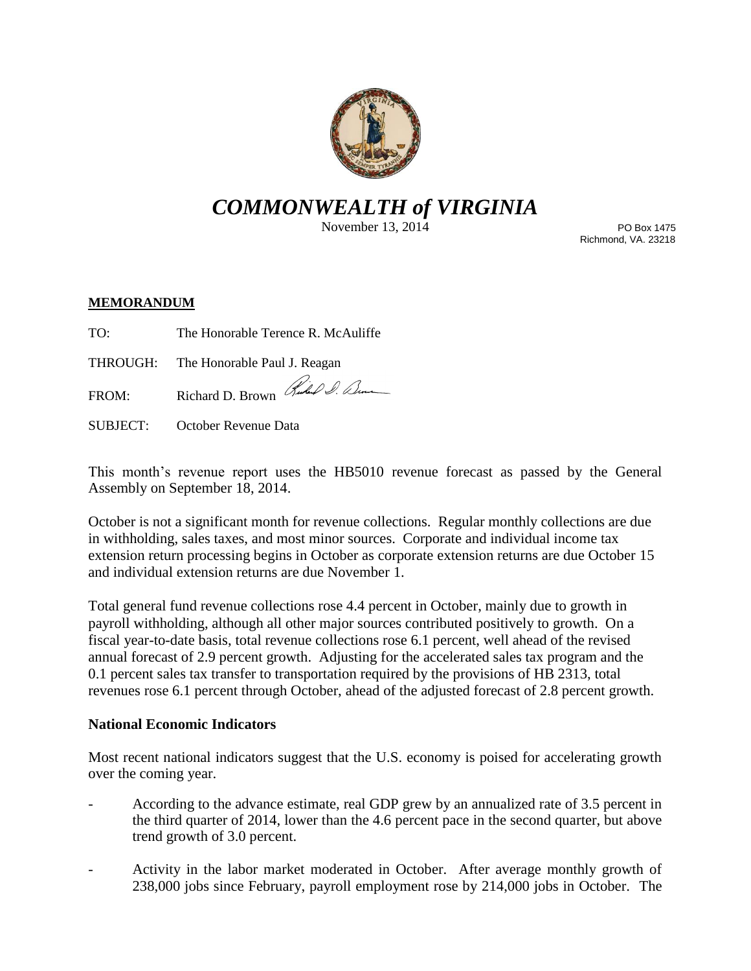

# *COMMONWEALTH of VIRGINIA*

November 13, 2014

PO Box 1475 Richmond, VA. 23218

## **MEMORANDUM**

TO: The Honorable Terence R. McAuliffe

THROUGH: The Honorable Paul J. Reagan

FROM: Richard D. Brown Hubel D. Denne

SUBJECT: October Revenue Data

This month's revenue report uses the HB5010 revenue forecast as passed by the General Assembly on September 18, 2014.

October is not a significant month for revenue collections. Regular monthly collections are due in withholding, sales taxes, and most minor sources. Corporate and individual income tax extension return processing begins in October as corporate extension returns are due October 15 and individual extension returns are due November 1.

Total general fund revenue collections rose 4.4 percent in October, mainly due to growth in payroll withholding, although all other major sources contributed positively to growth. On a fiscal year-to-date basis, total revenue collections rose 6.1 percent, well ahead of the revised annual forecast of 2.9 percent growth. Adjusting for the accelerated sales tax program and the 0.1 percent sales tax transfer to transportation required by the provisions of HB 2313, total revenues rose 6.1 percent through October, ahead of the adjusted forecast of 2.8 percent growth.

### **National Economic Indicators**

Most recent national indicators suggest that the U.S. economy is poised for accelerating growth over the coming year.

- According to the advance estimate, real GDP grew by an annualized rate of 3.5 percent in the third quarter of 2014, lower than the 4.6 percent pace in the second quarter, but above trend growth of 3.0 percent.
- Activity in the labor market moderated in October. After average monthly growth of 238,000 jobs since February, payroll employment rose by 214,000 jobs in October. The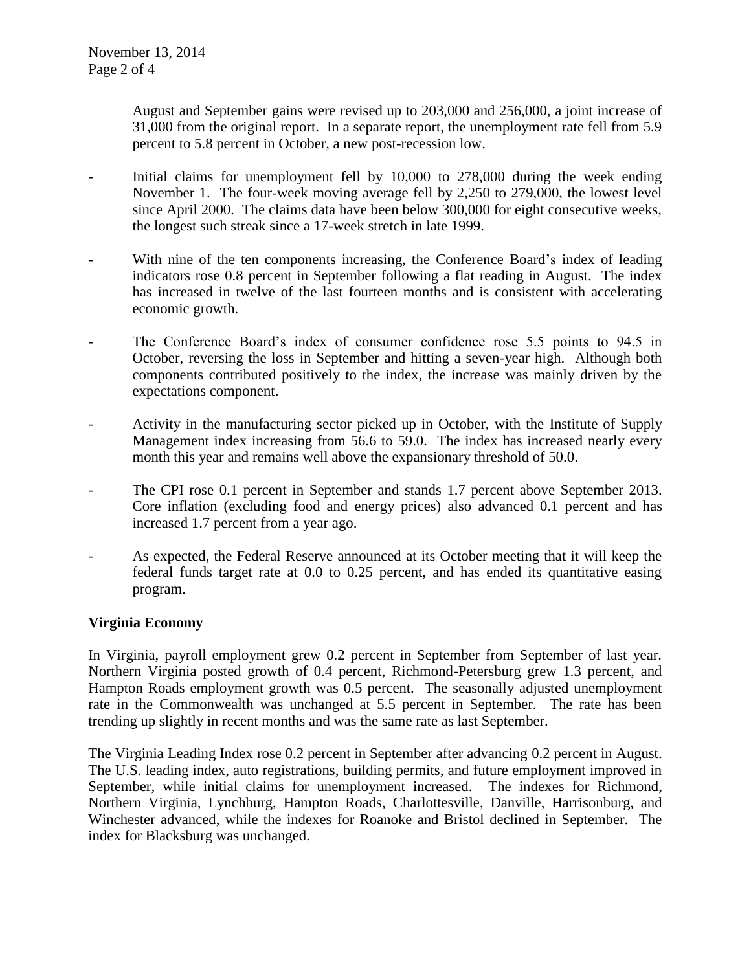August and September gains were revised up to 203,000 and 256,000, a joint increase of 31,000 from the original report. In a separate report, the unemployment rate fell from 5.9 percent to 5.8 percent in October, a new post-recession low.

- Initial claims for unemployment fell by 10,000 to 278,000 during the week ending November 1. The four-week moving average fell by 2,250 to 279,000, the lowest level since April 2000. The claims data have been below 300,000 for eight consecutive weeks, the longest such streak since a 17-week stretch in late 1999.
- With nine of the ten components increasing, the Conference Board's index of leading indicators rose 0.8 percent in September following a flat reading in August. The index has increased in twelve of the last fourteen months and is consistent with accelerating economic growth.
- The Conference Board's index of consumer confidence rose 5.5 points to 94.5 in October, reversing the loss in September and hitting a seven-year high. Although both components contributed positively to the index, the increase was mainly driven by the expectations component.
- Activity in the manufacturing sector picked up in October, with the Institute of Supply Management index increasing from 56.6 to 59.0. The index has increased nearly every month this year and remains well above the expansionary threshold of 50.0.
- The CPI rose 0.1 percent in September and stands 1.7 percent above September 2013. Core inflation (excluding food and energy prices) also advanced 0.1 percent and has increased 1.7 percent from a year ago.
- As expected, the Federal Reserve announced at its October meeting that it will keep the federal funds target rate at 0.0 to 0.25 percent, and has ended its quantitative easing program.

### **Virginia Economy**

In Virginia, payroll employment grew 0.2 percent in September from September of last year. Northern Virginia posted growth of 0.4 percent, Richmond-Petersburg grew 1.3 percent, and Hampton Roads employment growth was 0.5 percent. The seasonally adjusted unemployment rate in the Commonwealth was unchanged at 5.5 percent in September. The rate has been trending up slightly in recent months and was the same rate as last September.

The Virginia Leading Index rose 0.2 percent in September after advancing 0.2 percent in August. The U.S. leading index, auto registrations, building permits, and future employment improved in September, while initial claims for unemployment increased. The indexes for Richmond, Northern Virginia, Lynchburg, Hampton Roads, Charlottesville, Danville, Harrisonburg, and Winchester advanced, while the indexes for Roanoke and Bristol declined in September. The index for Blacksburg was unchanged.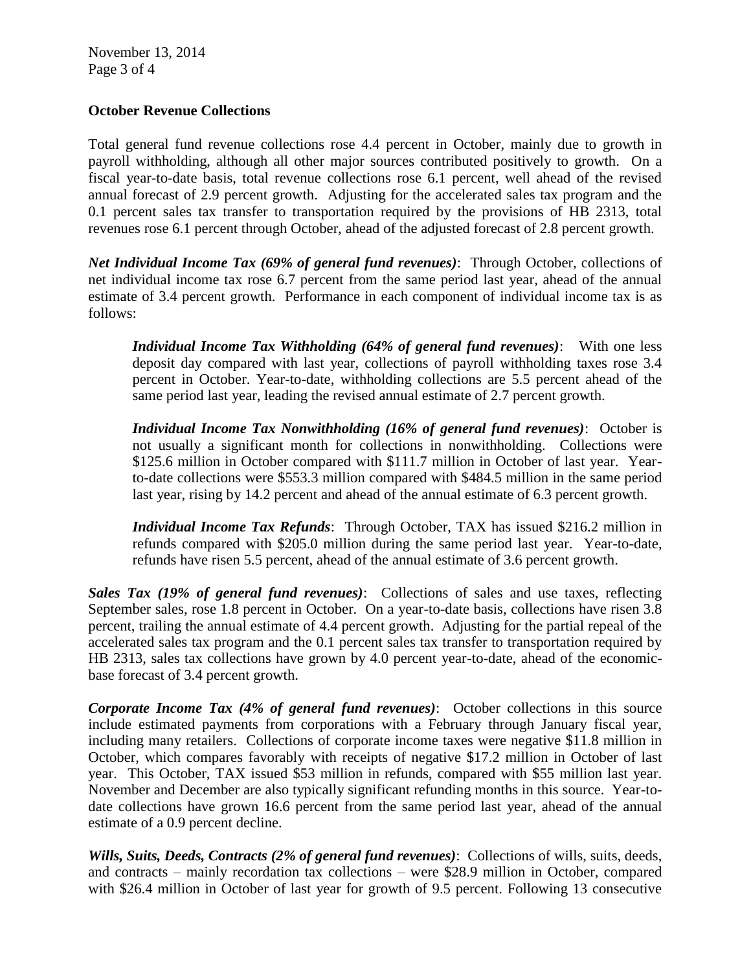## **October Revenue Collections**

Total general fund revenue collections rose 4.4 percent in October, mainly due to growth in payroll withholding, although all other major sources contributed positively to growth. On a fiscal year-to-date basis, total revenue collections rose 6.1 percent, well ahead of the revised annual forecast of 2.9 percent growth. Adjusting for the accelerated sales tax program and the 0.1 percent sales tax transfer to transportation required by the provisions of HB 2313, total revenues rose 6.1 percent through October, ahead of the adjusted forecast of 2.8 percent growth.

*Net Individual Income Tax (69% of general fund revenues)*: Through October, collections of net individual income tax rose 6.7 percent from the same period last year, ahead of the annual estimate of 3.4 percent growth. Performance in each component of individual income tax is as follows:

*Individual Income Tax Withholding (64% of general fund revenues)*: With one less deposit day compared with last year, collections of payroll withholding taxes rose 3.4 percent in October. Year-to-date, withholding collections are 5.5 percent ahead of the same period last year, leading the revised annual estimate of 2.7 percent growth.

*Individual Income Tax Nonwithholding (16% of general fund revenues)*: October is not usually a significant month for collections in nonwithholding. Collections were \$125.6 million in October compared with \$111.7 million in October of last year. Yearto-date collections were \$553.3 million compared with \$484.5 million in the same period last year, rising by 14.2 percent and ahead of the annual estimate of 6.3 percent growth.

*Individual Income Tax Refunds*: Through October, TAX has issued \$216.2 million in refunds compared with \$205.0 million during the same period last year. Year-to-date, refunds have risen 5.5 percent, ahead of the annual estimate of 3.6 percent growth.

*Sales Tax (19% of general fund revenues)*: Collections of sales and use taxes, reflecting September sales, rose 1.8 percent in October. On a year-to-date basis, collections have risen 3.8 percent, trailing the annual estimate of 4.4 percent growth. Adjusting for the partial repeal of the accelerated sales tax program and the 0.1 percent sales tax transfer to transportation required by HB 2313, sales tax collections have grown by 4.0 percent year-to-date, ahead of the economicbase forecast of 3.4 percent growth.

*Corporate Income Tax (4% of general fund revenues)*: October collections in this source include estimated payments from corporations with a February through January fiscal year, including many retailers. Collections of corporate income taxes were negative \$11.8 million in October, which compares favorably with receipts of negative \$17.2 million in October of last year. This October, TAX issued \$53 million in refunds, compared with \$55 million last year. November and December are also typically significant refunding months in this source. Year-todate collections have grown 16.6 percent from the same period last year, ahead of the annual estimate of a 0.9 percent decline.

*Wills, Suits, Deeds, Contracts (2% of general fund revenues)*: Collections of wills, suits, deeds, and contracts – mainly recordation tax collections – were \$28.9 million in October, compared with \$26.4 million in October of last year for growth of 9.5 percent. Following 13 consecutive